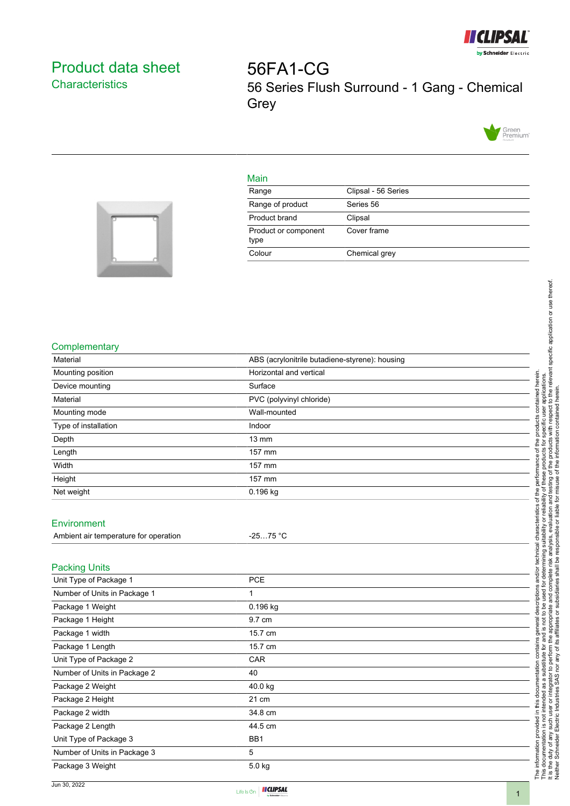

## <span id="page-0-0"></span>Product data sheet **Characteristics**

56FA1-CG 56 Series Flush Surround - 1 Gang - Chemical **Grey** 



## Main

| Range                        | Clipsal - 56 Series |
|------------------------------|---------------------|
| Range of product             | Series 56           |
| Product brand                | Clipsal             |
| Product or component<br>type | Cover frame         |
| Colour                       | Chemical grey       |



## **Complementary**

| Material                                       | ABS (acrylonitrile butadiene-styrene): housing |
|------------------------------------------------|------------------------------------------------|
| Mounting position                              | Horizontal and vertical                        |
| Device mounting                                | Surface                                        |
| Material                                       | PVC (polyvinyl chloride)                       |
| Mounting mode                                  | Wall-mounted                                   |
| Type of installation                           | Indoor                                         |
| Depth                                          | 13 mm                                          |
| Length                                         | 157 mm                                         |
| Width                                          | 157 mm                                         |
| Height                                         | 157 mm                                         |
| Net weight                                     | 0.196 kg                                       |
|                                                |                                                |
| Environment                                    |                                                |
| Ambient air temperature for operation          | $-2575 °C$                                     |
|                                                |                                                |
|                                                |                                                |
| <b>Packing Units</b><br>Unit Type of Package 1 | <b>PCE</b>                                     |
| Number of Units in Package 1                   | 1                                              |
|                                                | 0.196 kg                                       |
| Package 1 Weight                               | 9.7 cm                                         |
| Package 1 Height                               |                                                |
| Package 1 width                                | 15.7 cm                                        |
| Package 1 Length                               | 15.7 cm                                        |
| Unit Type of Package 2                         | CAR                                            |
| Number of Units in Package 2                   | 40                                             |
| Package 2 Weight                               | 40.0 kg                                        |
| Package 2 Height                               | 21 cm                                          |
| Package 2 width                                | 34.8 cm                                        |
| Package 2 Length                               | 44.5 cm                                        |
| Unit Type of Package 3                         | BB1                                            |
| Number of Units in Package 3                   | 5                                              |
| Package 3 Weight                               | 5.0 kg                                         |